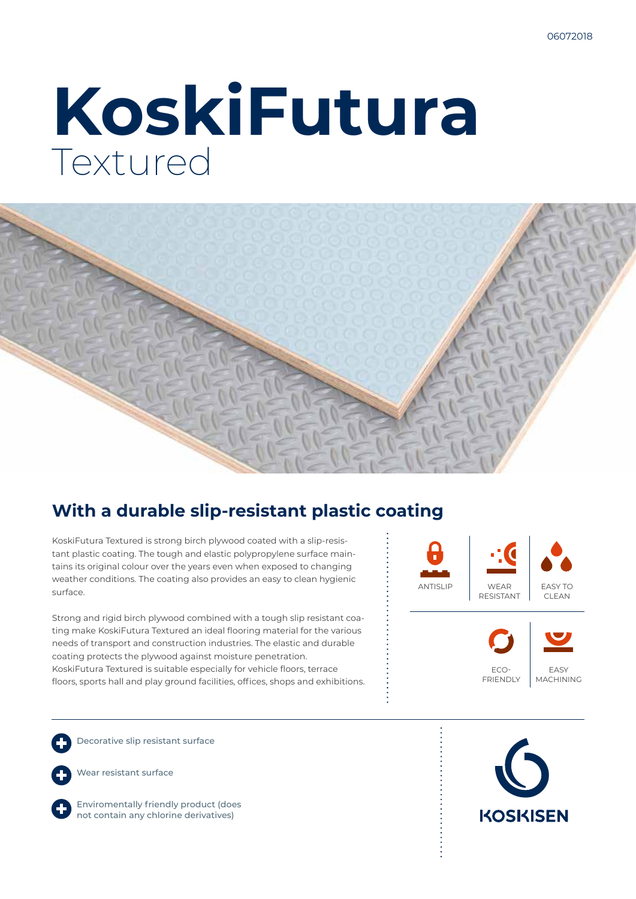# **KoskiFutura** Textured



### **With a durable slip-resistant plastic coating**

KoskiFutura Textured is strong birch plywood coated with a slip-resistant plastic coating. The tough and elastic polypropylene surface maintains its original colour over the years even when exposed to changing weather conditions. The coating also provides an easy to clean hygienic surface.

Strong and rigid birch plywood combined with a tough slip resistant coating make KoskiFutura Textured an ideal flooring material for the various needs of transport and construction industries. The elastic and durable coating protects the plywood against moisture penetration. KoskiFutura Textured is suitable especially for vehicle floors, terrace floors, sports hall and play ground facilities, offices, shops and exhibitions.



Decorative slip resistant surface

Wear resistant surface

Enviromentally friendly product (does not contain any chlorine derivatives)